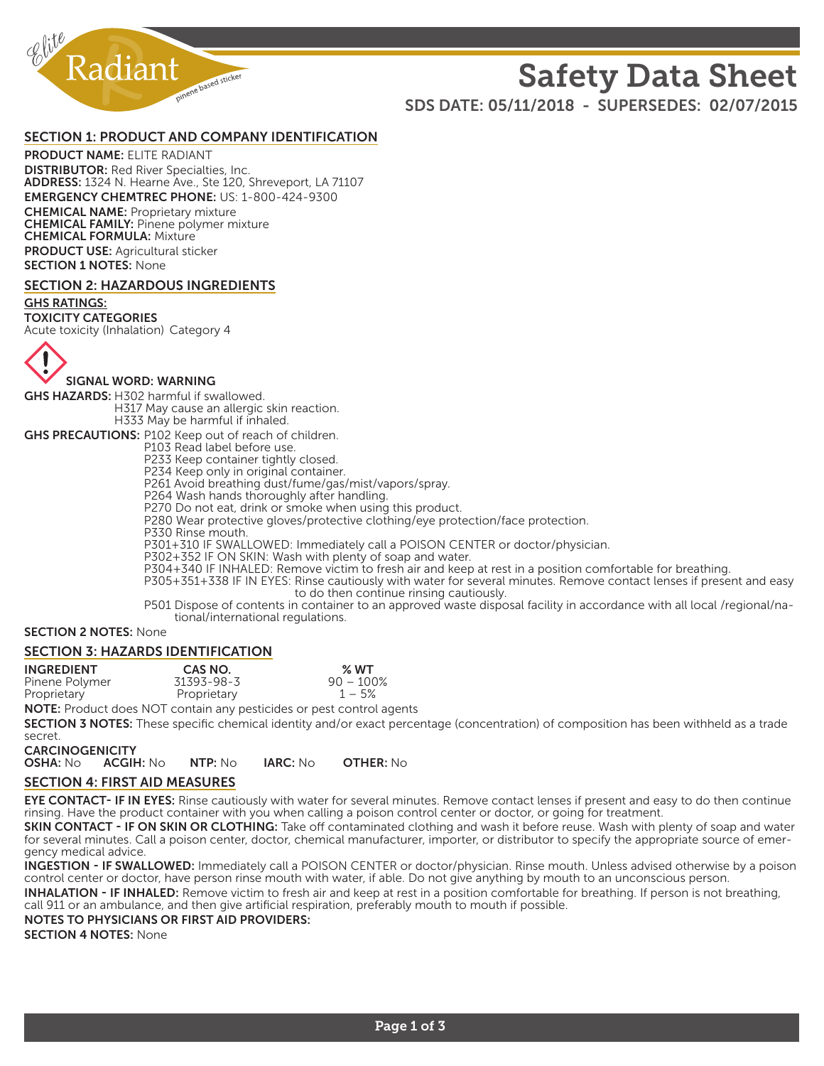

# Safety Data Sheet

SDS DATE: 05/11/2018 - SUPERSEDES: 02/07/2015

#### SECTION 1: PRODUCT AND COMPANY IDENTIFICATION

PRODUCT NAME: ELITE RADIANT DISTRIBUTOR: Red River Specialties, Inc. ADDRESS: 1324 N. Hearne Ave., Ste 120, Shreveport, LA 71107 EMERGENCY CHEMTREC PHONE: US: 1-800-424-9300 CHEMICAL NAME: Proprietary mixture CHEMICAL FAMILY: Pinene polymer mixture CHEMICAL FORMULA: Mixture PRODUCT USE: Agricultural sticker **SECTION 1 NOTES: None** 

#### SECTION 2: HAZARDOUS INGREDIENTS

#### GHS RATINGS:

TOXICITY CATEGORIES

Acute toxicity (Inhalation) Category 4



SIGNAL WORD: WARNING

GHS HAZARDS: H302 harmful if swallowed. H317 May cause an allergic skin reaction. H333 May be harmful if inhaled.

GHS PRECAUTIONS: P102 Keep out of reach of children.

P103 Read label before use. P233 Keep container tightly closed.

P234 Keep only in original container.

P261 Avoid breathing dust/fume/gas/mist/vapors/spray.

P264 Wash hands thoroughly after handling.

P270 Do not eat, drink or smoke when using this product.

P280 Wear protective gloves/protective clothing/eye protection/face protection.

P330 Rinse mouth.

P301+310 IF SWALLOWED: Immediately call a POISON CENTER or doctor/physician.

P302+352 IF ON SKIN: Wash with plenty of soap and water.

P304+340 IF INHALED: Remove victim to fresh air and keep at rest in a position comfortable for breathing.

P305+351+338 IF IN EYES: Rinse cautiously with water for several minutes. Remove contact lenses if present and easy to do then continue rinsing cautiously.

P501 Dispose of contents in container to an approved waste disposal facility in accordance with all local /regional/national/international regulations.

#### SECTION 2 NOTES: None

#### SECTION 3: HAZARDS IDENTIFICATION

| <b>INGREDIENT</b> | CAS NO.     | % WT         |
|-------------------|-------------|--------------|
| Pinene Polymer    | 31393-98-3  | $90 - 100\%$ |
| Proprietary       | Proprietary | $1 - 5%$     |
|                   |             |              |

NOTE: Product does NOT contain any pesticides or pest control agents

SECTION 3 NOTES: These specific chemical identity and/or exact percentage (concentration) of composition has been withheld as a trade secret.

CARCINOGENICITY

OSHA: No ACGIH: No NTP: No IARC: No OTHER: No

#### SECTION 4: FIRST AID MEASURES

EYE CONTACT- IF IN EYES: Rinse cautiously with water for several minutes. Remove contact lenses if present and easy to do then continue rinsing. Have the product container with you when calling a poison control center or doctor, or going for treatment.

SKIN CONTACT - IF ON SKIN OR CLOTHING: Take off contaminated clothing and wash it before reuse. Wash with plenty of soap and water for several minutes. Call a poison center, doctor, chemical manufacturer, importer, or distributor to specify the appropriate source of emergency medical advice.

INGESTION - IF SWALLOWED: Immediately call a POISON CENTER or doctor/physician. Rinse mouth. Unless advised otherwise by a poison control center or doctor, have person rinse mouth with water, if able. Do not give anything by mouth to an unconscious person.

INHALATION - IF INHALED: Remove victim to fresh air and keep at rest in a position comfortable for breathing. If person is not breathing, call 911 or an ambulance, and then give artificial respiration, preferably mouth to mouth if possible.

NOTES TO PHYSICIANS OR FIRST AID PROVIDERS:

SECTION 4 NOTES: None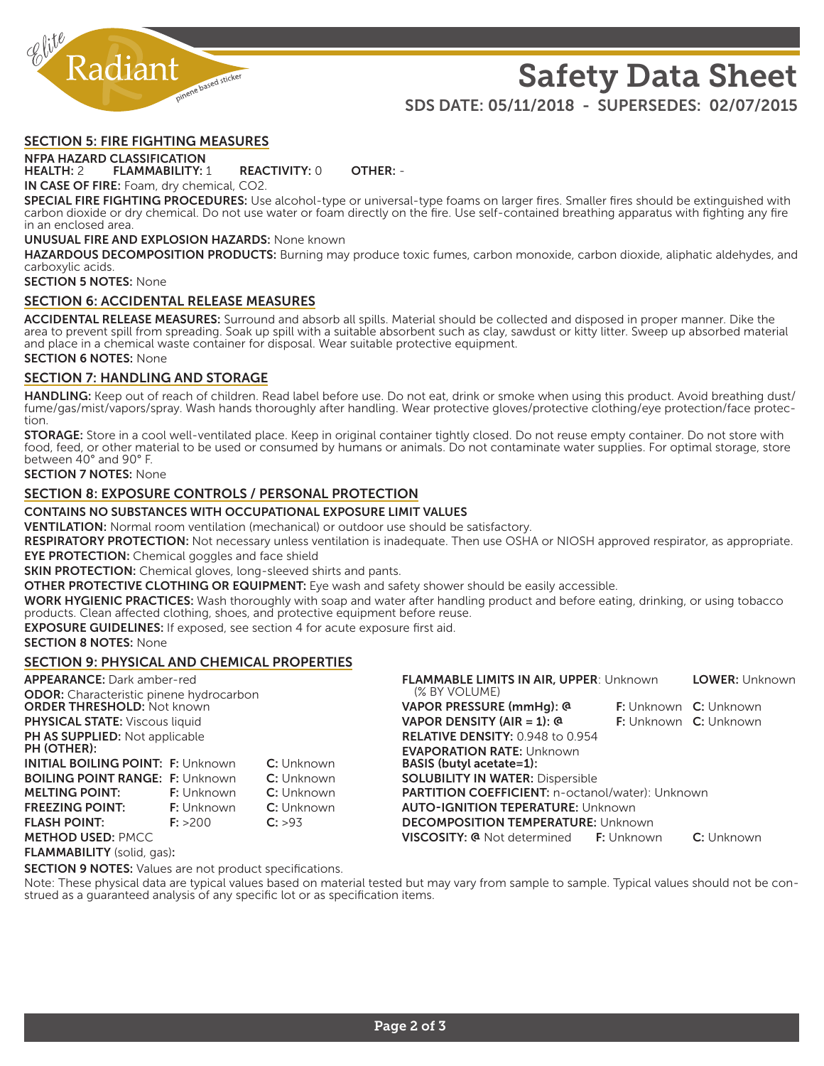

## Safety Data Sheet SDS DATE: 05/11/2018 - SUPERSEDES: 02/07/2015

#### SECTION 5: FIRE FIGHTING MEASURES

### NFPA HAZARD CLASSIFICATION<br>HEALTH: 2 FLAMMABILITY:

FLAMMABILITY: 1 REACTIVITY: 0 OTHER: -

IN CASE OF FIRE: Foam, dry chemical, CO2.

SPECIAL FIRE FIGHTING PROCEDURES: Use alcohol-type or universal-type foams on larger fires. Smaller fires should be extinguished with carbon dioxide or dry chemical. Do not use water or foam directly on the fire. Use self-contained breathing apparatus with fighting any fire in an enclosed area.

#### UNUSUAL FIRE AND EXPLOSION HAZARDS: None known

HAZARDOUS DECOMPOSITION PRODUCTS: Burning may produce toxic fumes, carbon monoxide, carbon dioxide, aliphatic aldehydes, and carboxylic acids.

SECTION 5 NOTES: None

#### SECTION 6: ACCIDENTAL RELEASE MEASURES

ACCIDENTAL RELEASE MEASURES: Surround and absorb all spills. Material should be collected and disposed in proper manner. Dike the area to prevent spill from spreading. Soak up spill with a suitable absorbent such as clay, sawdust or kitty litter. Sweep up absorbed material and place in a chemical waste container for disposal. Wear suitable protective equipment. **SECTION 6 NOTES: None** 

### SECTION 7: HANDLING AND STORAGE

HANDLING: Keep out of reach of children. Read label before use. Do not eat, drink or smoke when using this product. Avoid breathing dust/ fume/gas/mist/vapors/spray. Wash hands thoroughly after handling. Wear protective gloves/protective clothing/eye protection/face protection.

STORAGE: Store in a cool well-ventilated place. Keep in original container tightly closed. Do not reuse empty container. Do not store with food, feed, or other material to be used or consumed by humans or animals. Do not contaminate water supplies. For optimal storage, store between 40° and 90° F.

#### SECTION 7 NOTES: None

#### SECTION 8: EXPOSURE CONTROLS / PERSONAL PROTECTION

CONTAINS NO SUBSTANCES WITH OCCUPATIONAL EXPOSURE LIMIT VALUES

VENTILATION: Normal room ventilation (mechanical) or outdoor use should be satisfactory.

RESPIRATORY PROTECTION: Not necessary unless ventilation is inadequate. Then use OSHA or NIOSH approved respirator, as appropriate. EYE PROTECTION: Chemical goggles and face shield

**SKIN PROTECTION:** Chemical gloves, long-sleeved shirts and pants.

**OTHER PROTECTIVE CLOTHING OR EQUIPMENT:** Eye wash and safety shower should be easily accessible.

WORK HYGIENIC PRACTICES: Wash thoroughly with soap and water after handling product and before eating, drinking, or using tobacco products. Clean affected clothing, shoes, and protective equipment before reuse.

**EXPOSURE GUIDELINES:** If exposed, see section 4 for acute exposure first aid.

**SECTION 8 NOTES: None** 

#### SECTION 9: PHYSICAL AND CHEMICAL PROPERTIES

| <b>APPEARANCE:</b> Dark amber-red                                                   |                   |                   | <b>FLAMMABLE LIMITS IN AIR, UPPER: Unknown</b>                      |  | <b>LOWER: Unknown</b>               |
|-------------------------------------------------------------------------------------|-------------------|-------------------|---------------------------------------------------------------------|--|-------------------------------------|
| <b>ODOR:</b> Characteristic pinene hydrocarbon<br><b>ORDER THRESHOLD: Not known</b> |                   |                   | (% BY VOLUME)<br>VAPOR PRESSURE (mmHg): @                           |  | <b>F:</b> Unknown <b>C:</b> Unknown |
| <b>PHYSICAL STATE:</b> Viscous liquid                                               |                   |                   | VAPOR DENSITY (AIR = 1): $@$                                        |  | <b>F:</b> Unknown <b>C:</b> Unknown |
| PH AS SUPPLIED: Not applicable                                                      |                   |                   | <b>RELATIVE DENSITY: 0.948 to 0.954</b>                             |  |                                     |
| PH (OTHER):<br><b>INITIAL BOILING POINT: F: Unknown</b>                             |                   | C: Unknown        | <b>EVAPORATION RATE: Unknown</b><br><b>BASIS (butyl acetate=1):</b> |  |                                     |
| <b>BOILING POINT RANGE: F: Unknown</b>                                              |                   | <b>C:</b> Unknown | <b>SOLUBILITY IN WATER: Dispersible</b>                             |  |                                     |
| <b>MELTING POINT:</b>                                                               | <b>F:</b> Unknown | C: Unknown        | PARTITION COEFFICIENT: n-octanol/water): Unknown                    |  |                                     |
| <b>FREEZING POINT:</b>                                                              | <b>F:</b> Unknown | C: Unknown        | <b>AUTO-IGNITION TEPERATURE: Unknown</b>                            |  |                                     |
| <b>FLASH POINT:</b>                                                                 | F: > 200          | C: >9.3           | <b>DECOMPOSITION TEMPERATURE: Unknown</b>                           |  |                                     |
| <b>METHOD USED: PMCC</b>                                                            |                   |                   | <b>VISCOSITY: @</b> Not determined <b>F:</b> Unknown                |  | C: Unknown                          |

FLAMMABILITY (solid, gas):

**SECTION 9 NOTES:** Values are not product specifications.

Note: These physical data are typical values based on material tested but may vary from sample to sample. Typical values should not be con-<br>strued as a guaranteed analysis of any specific lot or as specification items.